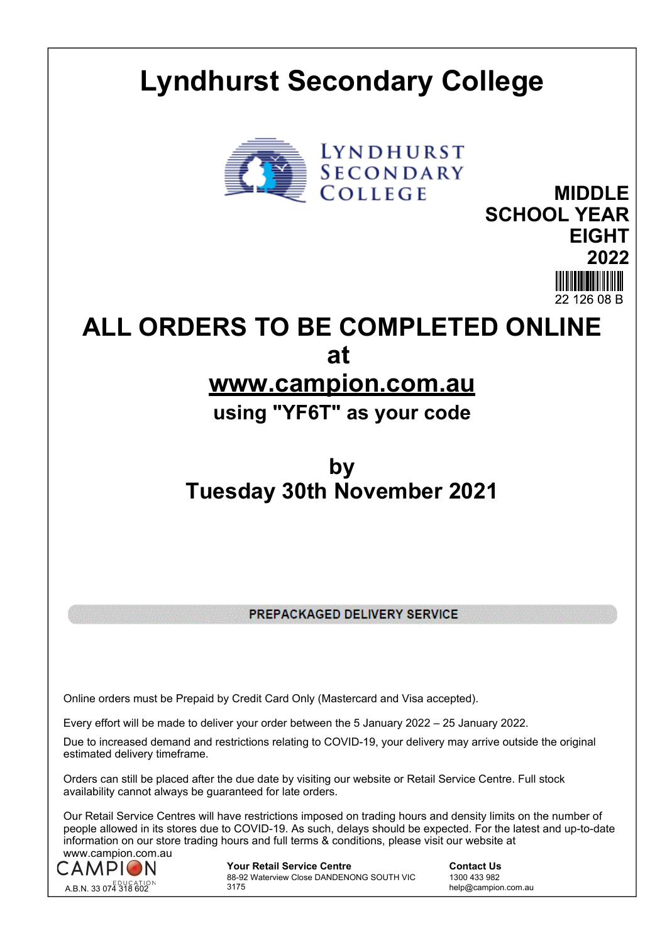## **Lyndhurst Secondary College**



**MIDDLE SCHOOL YEAR EIGHT 2022**

**ALL ORDERS TO BE COMPLETED ONLINE at** 

## **www.campion.com.au**

**using "YF6T" as your code**

## **by Tuesday 30th November 2021**

PREPACKAGED DELIVERY SERVICE

Online orders must be Prepaid by Credit Card Only (Mastercard and Visa accepted).

Every effort will be made to deliver your order between the 5 January 2022 – 25 January 2022.

Due to increased demand and restrictions relating to COVID-19, your delivery may arrive outside the original estimated delivery timeframe.

Orders can still be placed after the due date by visiting our website or Retail Service Centre. Full stock availability cannot always be guaranteed for late orders.

Our Retail Service Centres will have restrictions imposed on trading hours and density limits on the number of people allowed in its stores due to COVID-19. As such, delays should be expected. For the latest and up-to-date information on our store trading hours and full terms & conditions, please visit our website at www.campion.com.au



**Your Retail Service Centre Contact Us** 88-92 Waterview Close DANDENONG SOUTH VIC 3175

1300 433 982 help@campion.com.au